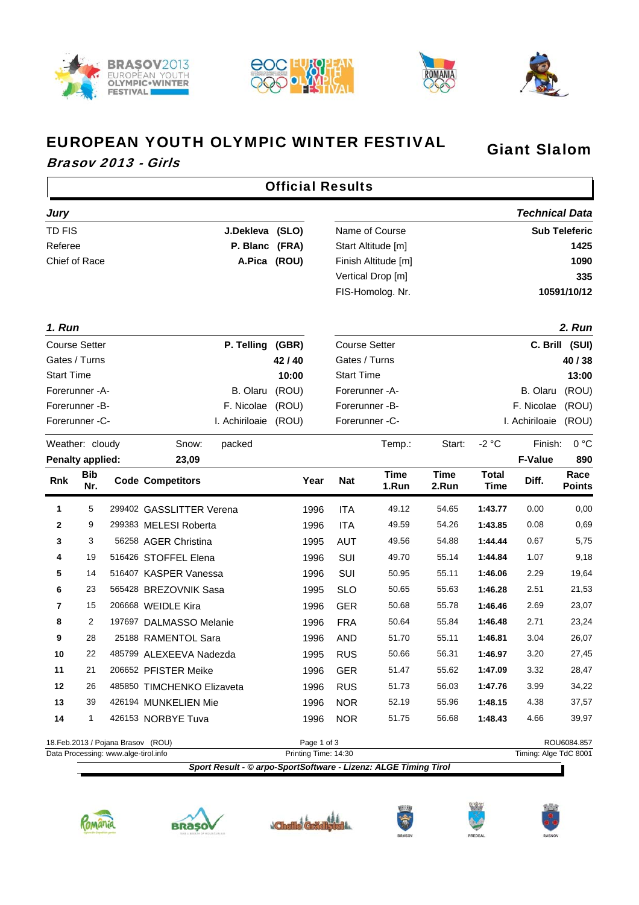







Giant Slalom

٦

## EUROPEAN YOUTH OLYMPIC WINTER FESTIVAL

## Brasov 2013 - Girls

 $\Gamma$ 

|                                    | <b>Official Results</b> |                                      |                            |                 |       |             |                      |                                                                 |                      |                      |                       |                       |
|------------------------------------|-------------------------|--------------------------------------|----------------------------|-----------------|-------|-------------|----------------------|-----------------------------------------------------------------|----------------------|----------------------|-----------------------|-----------------------|
| <b>Jury</b>                        |                         |                                      |                            |                 |       |             |                      |                                                                 |                      |                      | <b>Technical Data</b> |                       |
| <b>TD FIS</b>                      |                         |                                      |                            | J.Dekleva (SLO) |       |             |                      | Name of Course                                                  |                      |                      |                       | <b>Sub Teleferic</b>  |
| Referee<br>P. Blanc (FRA)          |                         |                                      |                            |                 |       |             | Start Altitude [m]   |                                                                 |                      |                      | 1425                  |                       |
| Chief of Race<br>A.Pica (ROU)      |                         |                                      |                            |                 |       |             | Finish Altitude [m]  |                                                                 |                      |                      | 1090                  |                       |
|                                    |                         |                                      |                            |                 |       |             |                      | Vertical Drop [m]                                               |                      |                      |                       | 335                   |
|                                    |                         |                                      |                            |                 |       |             |                      | FIS-Homolog. Nr.                                                |                      |                      |                       | 10591/10/12           |
| 1. Run                             |                         |                                      |                            |                 |       |             |                      |                                                                 |                      |                      |                       | 2. Run                |
| P. Telling<br><b>Course Setter</b> |                         |                                      |                            |                 | (GBR) |             |                      | <b>Course Setter</b>                                            |                      |                      |                       | C. Brill (SUI)        |
|                                    | Gates / Turns           |                                      |                            |                 | 42/40 |             |                      | Gates / Turns                                                   |                      |                      |                       | 40/38                 |
| <b>Start Time</b>                  |                         |                                      |                            |                 | 10:00 |             | <b>Start Time</b>    |                                                                 |                      |                      |                       | 13:00                 |
|                                    | Forerunner - A-         |                                      |                            | B. Olaru        | (ROU) |             | Forerunner - A-      |                                                                 |                      |                      | B. Olaru              | (ROU)                 |
|                                    | Forerunner -B-          |                                      |                            | F. Nicolae      | (ROU) |             | Forerunner -B-       |                                                                 |                      |                      | F. Nicolae            | (ROU)                 |
|                                    | Forerunner -C-          |                                      |                            | I. Achiriloaie  | (ROU) |             |                      | Forerunner -C-                                                  |                      |                      | I. Achiriloaie        | (ROU)                 |
| Weather: cloudy<br>Snow:<br>packed |                         |                                      |                            |                 |       | Temp.:      | Start:               | $-2 °C$                                                         | Finish:              | 0 °C                 |                       |                       |
|                                    | <b>Penalty applied:</b> |                                      | 23,09                      |                 |       |             |                      |                                                                 |                      |                      | <b>F-Value</b>        | 890                   |
| Rnk                                | <b>Bib</b><br>Nr.       |                                      | <b>Code Competitors</b>    |                 |       | Year        | <b>Nat</b>           | <b>Time</b><br>1.Run                                            | <b>Time</b><br>2.Run | <b>Total</b><br>Time | Diff.                 | Race<br><b>Points</b> |
| 1                                  | 5                       |                                      | 299402 GASSLITTER Verena   |                 |       | 1996        | <b>ITA</b>           | 49.12                                                           | 54.65                | 1:43.77              | 0.00                  | 0,00                  |
| 2                                  | 9                       |                                      | 299383 MELESI Roberta      |                 |       | 1996        | <b>ITA</b>           | 49.59                                                           | 54.26                | 1:43.85              | 0.08                  | 0,69                  |
| 3                                  | 3                       |                                      | 56258 AGER Christina       |                 |       | 1995        | <b>AUT</b>           | 49.56                                                           | 54.88                | 1:44.44              | 0.67                  | 5,75                  |
| 4                                  | 19                      |                                      | 516426 STOFFEL Elena       |                 |       | 1996        | SUI                  | 49.70                                                           | 55.14                | 1:44.84              | 1.07                  | 9,18                  |
| 5                                  | 14                      |                                      | 516407 KASPER Vanessa      |                 |       | 1996        | SUI                  | 50.95                                                           | 55.11                | 1:46.06              | 2.29                  | 19,64                 |
| 6                                  | 23                      |                                      | 565428 BREZOVNIK Sasa      |                 |       | 1995        | <b>SLO</b>           | 50.65                                                           | 55.63                | 1:46.28              | 2.51                  | 21,53                 |
| 7                                  | 15                      |                                      | 206668 WEIDLE Kira         |                 |       | 1996        | <b>GER</b>           | 50.68                                                           | 55.78                | 1:46.46              | 2.69                  | 23,07                 |
| 8                                  | $\overline{c}$          |                                      | 197697 DALMASSO Melanie    |                 |       | 1996        | <b>FRA</b>           | 50.64                                                           | 55.84                | 1:46.48              | 2.71                  | 23,24                 |
| 9                                  | 28                      |                                      | 25188 RAMENTOL Sara        |                 |       | 1996        | <b>AND</b>           | 51.70                                                           | 55.11                | 1:46.81              | 3.04                  | 26,07                 |
| 10                                 | 22                      |                                      | 485799 ALEXEEVA Nadezda    |                 |       | 1995        | <b>RUS</b>           | 50.66                                                           | 56.31                | 1:46.97              | 3.20                  | 27,45                 |
| 11                                 | 21                      |                                      | 206652 PFISTER Meike       |                 |       | 1996        | <b>GER</b>           | 51.47                                                           | 55.62                | 1:47.09              | 3.32                  | 28,47                 |
| 12                                 | 26                      |                                      | 485850 TIMCHENKO Elizaveta |                 |       | 1996        | <b>RUS</b>           | 51.73                                                           | 56.03                | 1:47.76              | 3.99                  | 34,22                 |
| 13                                 | 39                      |                                      | 426194 MUNKELIEN Mie       |                 |       | 1996        | <b>NOR</b>           | 52.19                                                           | 55.96                | 1:48.15              | 4.38                  | 37,57                 |
| 14                                 | $\mathbf{1}$            |                                      | 426153 NORBYE Tuva         |                 |       | 1996        | <b>NOR</b>           | 51.75                                                           | 56.68                | 1:48.43              | 4.66                  | 39,97                 |
|                                    |                         | 18. Feb. 2013 / Pojana Brasov (ROU)  |                            |                 |       | Page 1 of 3 |                      |                                                                 |                      |                      |                       | ROU6084.857           |
|                                    |                         | Data Processing: www.alge-tirol.info |                            |                 |       |             | Printing Time: 14:30 |                                                                 |                      |                      | Timing: Alge TdC 8001 |                       |
|                                    |                         |                                      |                            |                 |       |             |                      | Sport Result - © arpo-SportSoftware - Lizenz: ALGE Timing Tirol |                      |                      |                       |                       |











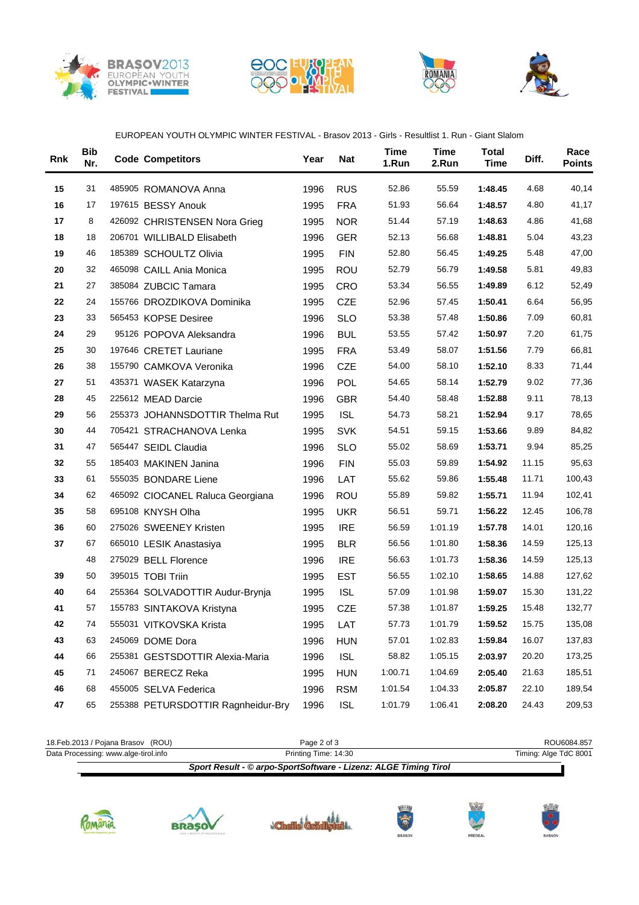







## EUROPEAN YOUTH OLYMPIC WINTER FESTIVAL - Brasov 2013 - Girls - Resultlist 1. Run - Giant Slalom

| Rnk | <b>Bib</b><br>Nr. | <b>Code Competitors</b>            | Year | Nat        | <b>Time</b><br>1.Run | <b>Time</b><br>2.Run | <b>Total</b><br><b>Time</b> | Diff. | Race<br><b>Points</b> |
|-----|-------------------|------------------------------------|------|------------|----------------------|----------------------|-----------------------------|-------|-----------------------|
| 15  | 31                | 485905 ROMANOVA Anna               | 1996 | <b>RUS</b> | 52.86                | 55.59                | 1:48.45                     | 4.68  | 40,14                 |
| 16  | 17                | 197615 BESSY Anouk                 | 1995 | <b>FRA</b> | 51.93                | 56.64                | 1:48.57                     | 4.80  | 41,17                 |
| 17  | 8                 | 426092 CHRISTENSEN Nora Grieg      | 1995 | <b>NOR</b> | 51.44                | 57.19                | 1:48.63                     | 4.86  | 41,68                 |
| 18  | 18                | 206701 WILLIBALD Elisabeth         | 1996 | <b>GER</b> | 52.13                | 56.68                | 1:48.81                     | 5.04  | 43,23                 |
| 19  | 46                | 185389 SCHOULTZ Olivia             | 1995 | <b>FIN</b> | 52.80                | 56.45                | 1:49.25                     | 5.48  | 47,00                 |
| 20  | 32                | 465098 CAILL Ania Monica           | 1995 | <b>ROU</b> | 52.79                | 56.79                | 1:49.58                     | 5.81  | 49,83                 |
| 21  | 27                | 385084 ZUBCIC Tamara               | 1995 | <b>CRO</b> | 53.34                | 56.55                | 1:49.89                     | 6.12  | 52,49                 |
| 22  | 24                | 155766 DROZDIKOVA Dominika         | 1995 | <b>CZE</b> | 52.96                | 57.45                | 1:50.41                     | 6.64  | 56,95                 |
| 23  | 33                | 565453 KOPSE Desiree               | 1996 | <b>SLO</b> | 53.38                | 57.48                | 1:50.86                     | 7.09  | 60,81                 |
| 24  | 29                | 95126 POPOVA Aleksandra            | 1996 | <b>BUL</b> | 53.55                | 57.42                | 1:50.97                     | 7.20  | 61,75                 |
| 25  | 30                | 197646 CRETET Lauriane             | 1995 | <b>FRA</b> | 53.49                | 58.07                | 1:51.56                     | 7.79  | 66,81                 |
| 26  | 38                | 155790 CAMKOVA Veronika            | 1996 | CZE        | 54.00                | 58.10                | 1:52.10                     | 8.33  | 71,44                 |
| 27  | 51                | 435371 WASEK Katarzyna             | 1996 | POL        | 54.65                | 58.14                | 1:52.79                     | 9.02  | 77,36                 |
| 28  | 45                | 225612 MEAD Darcie                 | 1996 | <b>GBR</b> | 54.40                | 58.48                | 1:52.88                     | 9.11  | 78,13                 |
| 29  | 56                | 255373 JOHANNSDOTTIR Thelma Rut    | 1995 | <b>ISL</b> | 54.73                | 58.21                | 1:52.94                     | 9.17  | 78,65                 |
| 30  | 44                | 705421 STRACHANOVA Lenka           | 1995 | <b>SVK</b> | 54.51                | 59.15                | 1:53.66                     | 9.89  | 84,82                 |
| 31  | 47                | 565447 SEIDL Claudia               | 1996 | <b>SLO</b> | 55.02                | 58.69                | 1:53.71                     | 9.94  | 85,25                 |
| 32  | 55                | 185403 MAKINEN Janina              | 1996 | <b>FIN</b> | 55.03                | 59.89                | 1:54.92                     | 11.15 | 95,63                 |
| 33  | 61                | 555035 BONDARE Liene               | 1996 | LAT        | 55.62                | 59.86                | 1:55.48                     | 11.71 | 100,43                |
| 34  | 62                | 465092 CIOCANEL Raluca Georgiana   | 1996 | ROU        | 55.89                | 59.82                | 1:55.71                     | 11.94 | 102,41                |
| 35  | 58                | 695108 KNYSH Olha                  | 1995 | <b>UKR</b> | 56.51                | 59.71                | 1:56.22                     | 12.45 | 106,78                |
| 36  | 60                | 275026 SWEENEY Kristen             | 1995 | <b>IRE</b> | 56.59                | 1:01.19              | 1:57.78                     | 14.01 | 120,16                |
| 37  | 67                | 665010 LESIK Anastasiya            | 1995 | <b>BLR</b> | 56.56                | 1:01.80              | 1:58.36                     | 14.59 | 125,13                |
|     | 48                | 275029 BELL Florence               | 1996 | <b>IRE</b> | 56.63                | 1:01.73              | 1:58.36                     | 14.59 | 125,13                |
| 39  | 50                | 395015 TOBI Triin                  | 1995 | <b>EST</b> | 56.55                | 1:02.10              | 1:58.65                     | 14.88 | 127,62                |
| 40  | 64                | 255364 SOLVADOTTIR Audur-Brynja    | 1995 | <b>ISL</b> | 57.09                | 1:01.98              | 1:59.07                     | 15.30 | 131,22                |
| 41  | 57                | 155783 SINTAKOVA Kristyna          | 1995 | CZE        | 57.38                | 1:01.87              | 1:59.25                     | 15.48 | 132,77                |
| 42  | 74                | 555031 VITKOVSKA Krista            | 1995 | LAT        | 57.73                | 1:01.79              | 1:59.52                     | 15.75 | 135,08                |
| 43  | 63                | 245069 DOME Dora                   | 1996 | <b>HUN</b> | 57.01                | 1:02.83              | 1:59.84                     | 16.07 | 137,83                |
| 44  | 66                | 255381 GESTSDOTTIR Alexia-Maria    | 1996 | <b>ISL</b> | 58.82                | 1:05.15              | 2:03.97                     | 20.20 | 173,25                |
| 45  | 71                | 245067 BERECZ Reka                 | 1995 | <b>HUN</b> | 1:00.71              | 1:04.69              | 2:05.40                     | 21.63 | 185,51                |
| 46  | 68                | 455005 SELVA Federica              | 1996 | <b>RSM</b> | 1:01.54              | 1:04.33              | 2:05.87                     | 22.10 | 189,54                |
| 47  | 65                | 255388 PETURSDOTTIR Ragnheidur-Bry | 1996 | <b>ISL</b> | 1:01.79              | 1:06.41              | 2:08.20                     | 24.43 | 209,53                |
|     |                   |                                    |      |            |                      |                      |                             |       |                       |

|                                      | Sport Result - © arpo-SportSoftware - Lizenz: ALGE Timing Tirol |                       |
|--------------------------------------|-----------------------------------------------------------------|-----------------------|
| Data Processing: www.alge-tirol.info | Printing Time: 14:30                                            | Timing: Alge TdC 8001 |
| 18. Feb. 2013 / Pojana Brasov (ROU)  | Page 2 of 3                                                     | ROU6084.857           |